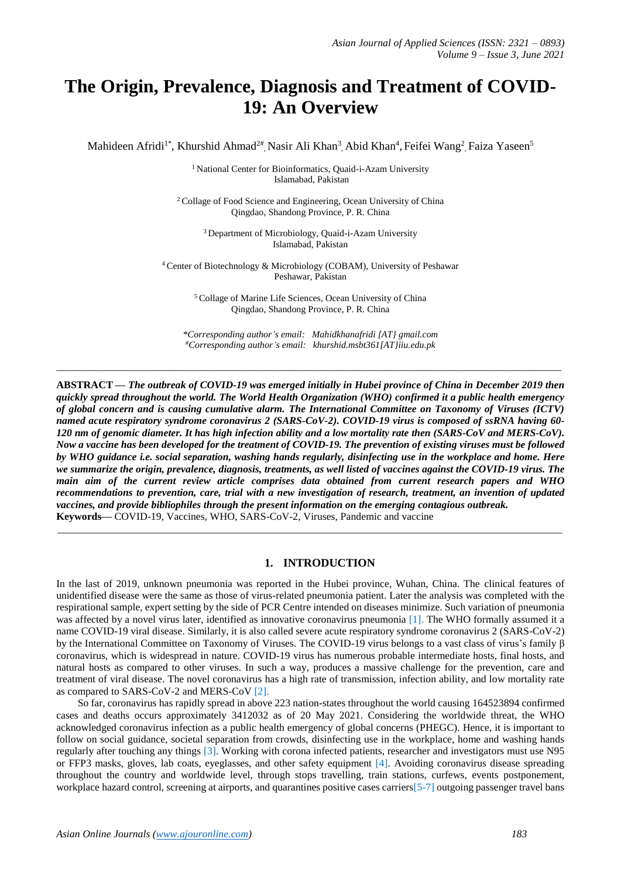# **The Origin, Prevalence, Diagnosis and Treatment of COVID-19: An Overview**

Mahideen Afridi<sup>1\*</sup>, Khurshid Ahmad<sup>2#</sup>, Nasir Ali Khan<sup>3</sup>, Abid Khan<sup>4</sup>, Feifei Wang<sup>2</sup>, Faiza Yaseen<sup>5</sup>

<sup>1</sup> National Center for Bioinformatics, Quaid-i-Azam University Islamabad, Pakistan

<sup>2</sup> Collage of Food Science and Engineering, Ocean University of China Qingdao, Shandong Province, P. R. China

> <sup>3</sup> Department of Microbiology, Quaid-i-Azam University Islamabad, Pakistan

<sup>4</sup> Center of Biotechnology & Microbiology (COBAM), University of Peshawar Peshawar, Pakistan

> <sup>5</sup> Collage of Marine Life Sciences, Ocean University of China Qingdao, Shandong Province, P. R. China

*\*Corresponding author's email: Mahidkhanafridi [AT} gmail.com #Corresponding author's email: khurshid.msbt361[AT}iiu.edu.pk*

 $\_$  ,  $\_$  ,  $\_$  ,  $\_$  ,  $\_$  ,  $\_$  ,  $\_$  ,  $\_$  ,  $\_$  ,  $\_$  ,  $\_$  ,  $\_$  ,  $\_$  ,  $\_$  ,  $\_$  ,  $\_$  ,  $\_$  ,  $\_$  ,  $\_$  ,  $\_$  ,  $\_$  ,  $\_$  ,  $\_$  ,  $\_$  ,  $\_$  ,  $\_$  ,  $\_$  ,  $\_$  ,  $\_$  ,  $\_$  ,  $\_$  ,  $\_$  ,  $\_$  ,  $\_$  ,  $\_$  ,  $\_$  ,  $\_$  ,

**ABSTRACT —** *The outbreak of COVID-19 was emerged initially in Hubei province of China in December 2019 then quickly spread throughout the world. The World Health Organization (WHO) confirmed it a public health emergency of global concern and is causing cumulative alarm. The International Committee on Taxonomy of Viruses (ICTV) named acute respiratory syndrome coronavirus 2 (SARS-CoV-2). COVID-19 virus is composed of ssRNA having 60- 120 nm of genomic diameter. It has high infection ability and a low mortality rate then (SARS-CoV and MERS-CoV). Now a vaccine has been developed for the treatment of COVID-19. The prevention of existing viruses must be followed by WHO guidance i.e. social separation, washing hands regularly, disinfecting use in the workplace and home. Here we summarize the origin, prevalence, diagnosis, treatments, as well listed of vaccines against the COVID-19 virus. The main aim of the current review article comprises data obtained from current research papers and WHO recommendations to prevention, care, trial with a new investigation of research, treatment, an invention of updated vaccines, and provide bibliophiles through the present information on the emerging contagious outbreak.* **Keywords—** COVID-19, Vaccines, WHO, SARS-CoV-2, Viruses, Pandemic and vaccine

\_\_\_\_\_\_\_\_\_\_\_\_\_\_\_\_\_\_\_\_\_\_\_\_\_\_\_\_\_\_\_\_\_\_\_\_\_\_\_\_\_\_\_\_\_\_\_\_\_\_\_\_\_\_\_\_\_\_\_\_\_\_\_\_\_\_\_\_\_\_\_\_\_\_\_\_\_\_\_\_\_\_\_\_\_\_\_\_\_\_\_\_\_\_\_\_\_

## **1. INTRODUCTION**

In the last of 2019, unknown pneumonia was reported in the Hubei province, Wuhan, China. The clinical features of unidentified disease were the same as those of virus-related pneumonia patient. Later the analysis was completed with the respirational sample, expert setting by the side of PCR Centre intended on diseases minimize. Such variation of pneumonia was affected by a novel virus later, identified as innovative coronavirus pneumonia [1]. The WHO formally assumed it a name COVID-19 viral disease. Similarly, it is also called severe acute respiratory syndrome coronavirus 2 (SARS-CoV-2) by the International Committee on Taxonomy of Viruses. The COVID-19 virus belongs to a vast class of virus's family β coronavirus, which is widespread in nature. COVID-19 virus has numerous probable intermediate hosts, final hosts, and natural hosts as compared to other viruses. In such a way, produces a massive challenge for the prevention, care and treatment of viral disease. The novel coronavirus has a high rate of transmission, infection ability, and low mortality rate as compared to SARS-CoV-2 and MERS-CoV [2].

 So far, coronavirus has rapidly spread in above 223 nation-states throughout the world causing 164523894 confirmed cases and deaths occurs approximately 3412032 as of 20 May 2021. Considering the worldwide threat, the WHO acknowledged coronavirus infection as a public health emergency of global concerns (PHEGC). Hence, it is important to follow on social guidance, societal separation from crowds, disinfecting use in the workplace, home and washing hands regularly after touching any things [3]. Working with corona infected patients, researcher and investigators must use N95 or FFP3 masks, gloves, lab coats, eyeglasses, and other safety equipment [4]. Avoiding coronavirus disease spreading throughout the country and worldwide level, through stops travelling, train stations, curfews, events postponement, workplace hazard control, screening at airports, and quarantines positive cases carriers[5-7] outgoing passenger travel bans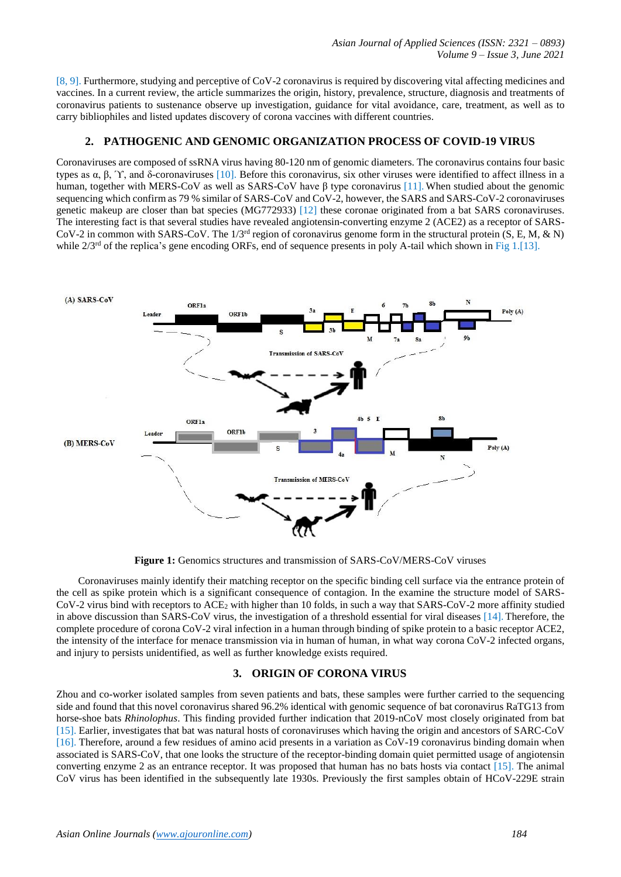[8, 9]. Furthermore, studying and perceptive of CoV-2 coronavirus is required by discovering vital affecting medicines and vaccines. In a current review, the article summarizes the origin, history, prevalence, structure, diagnosis and treatments of coronavirus patients to sustenance observe up investigation, guidance for vital avoidance, care, treatment, as well as to carry bibliophiles and listed updates discovery of corona vaccines with different countries.

## **2. PATHOGENIC AND GENOMIC ORGANIZATION PROCESS OF COVID-19 VIRUS**

Coronaviruses are composed of ssRNA virus having 80-120 nm of genomic diameters. The coronavirus contains four basic types as  $\alpha$ , β,  $\gamma$ , and δ-coronaviruses [10]. Before this coronavirus, six other viruses were identified to affect illness in a human, together with MERS-CoV as well as SARS-CoV have β type coronavirus [11]. When studied about the genomic sequencing which confirm as 79 % similar of SARS-CoV and CoV-2, however, the SARS and SARS-CoV-2 coronaviruses genetic makeup are closer than bat species (MG772933) [12] these coronae originated from a bat SARS coronaviruses. The interesting fact is that several studies have revealed angiotensin-converting enzyme 2 (ACE2) as a receptor of SARS-CoV-2 in common with SARS-CoV. The  $1/3^{rd}$  region of coronavirus genome form in the structural protein (S, E, M, & N) while  $2/3<sup>rd</sup>$  of the replica's gene encoding ORFs, end of sequence presents in poly A-tail which shown in Fig 1.[13].



**Figure 1:** Genomics structures and transmission of SARS-CoV/MERS-CoV viruses

 Coronaviruses mainly identify their matching receptor on the specific binding cell surface via the entrance protein of the cell as spike protein which is a significant consequence of contagion. In the examine the structure model of SARS-CoV-2 virus bind with receptors to ACE<sup>2</sup> with higher than 10 folds, in such a way that SARS-CoV-2 more affinity studied in above discussion than SARS-CoV virus, the investigation of a threshold essential for viral diseases [14]. Therefore, the complete procedure of corona CoV-2 viral infection in a human through binding of spike protein to a basic receptor ACE2, the intensity of the interface for menace transmission via in human of human, in what way corona CoV-2 infected organs, and injury to persists unidentified, as well as further knowledge exists required.

# **3. ORIGIN OF CORONA VIRUS**

Zhou and co-worker isolated samples from seven patients and bats, these samples were further carried to the sequencing side and found that this novel coronavirus shared 96.2% identical with genomic sequence of bat coronavirus RaTG13 from horse-shoe bats *Rhinolophus*. This finding provided further indication that 2019-nCoV most closely originated from bat [15]. Earlier, investigates that bat was natural hosts of coronaviruses which having the origin and ancestors of SARC-CoV [16]. Therefore, around a few residues of amino acid presents in a variation as CoV-19 coronavirus binding domain when associated is SARS-CoV, that one looks the structure of the receptor-binding domain quiet permitted usage of angiotensin converting enzyme 2 as an entrance receptor. It was proposed that human has no bats hosts via contact [15]. The animal CoV virus has been identified in the subsequently late 1930s. Previously the first samples obtain of HCoV-229E strain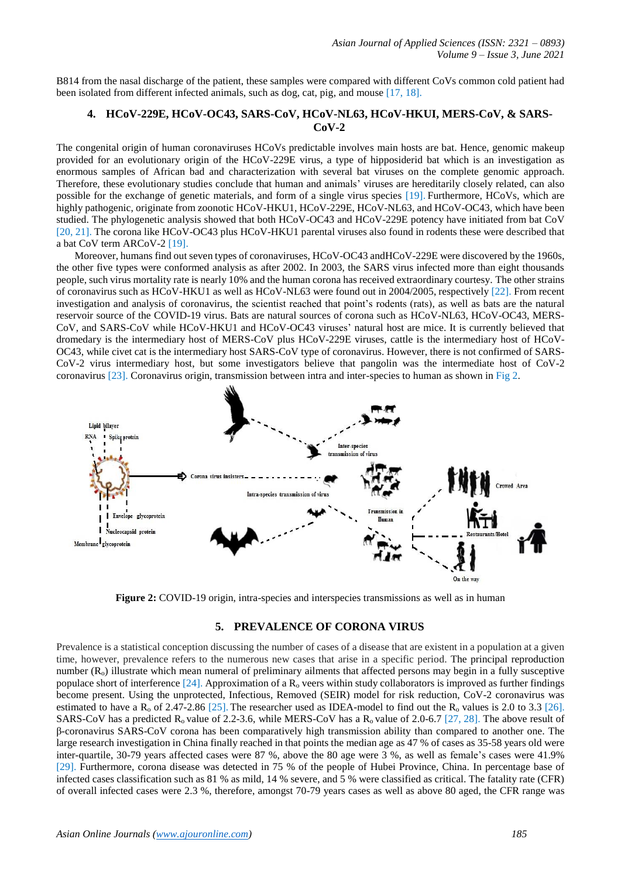B814 from the nasal discharge of the patient, these samples were compared with different CoVs common cold patient had been isolated from different infected animals, such as dog, cat, pig, and mouse [17, 18].

#### **4. HCoV-229E, HCoV-OC43, SARS-CoV, HCoV-NL63, HCoV-HKUI, MERS-CoV, & SARS-CoV-2**

The congenital origin of human coronaviruses HCoVs predictable involves main hosts are bat. Hence, genomic makeup provided for an evolutionary origin of the HCoV-229E virus, a type of hipposiderid bat which is an investigation as enormous samples of African bad and characterization with several bat viruses on the complete genomic approach. Therefore, these evolutionary studies conclude that human and animals' viruses are hereditarily closely related, can also possible for the exchange of genetic materials, and form of a single virus species [19]. Furthermore, HCoVs, which are highly pathogenic, originate from zoonotic HCoV-HKU1, HCoV-229E, HCoV-NL63, and HCoV-OC43, which have been studied. The phylogenetic analysis showed that both HCoV-OC43 and HCoV-229E potency have initiated from bat CoV [20, 21]. The corona like HCoV-OC43 plus HCoV-HKU1 parental viruses also found in rodents these were described that a bat CoV term ARCoV-2 [19].

 Moreover, humans find out seven types of coronaviruses, HCoV-OC43 andHCoV-229E were discovered by the 1960s, the other five types were conformed analysis as after 2002. In 2003, the SARS virus infected more than eight thousands people, such virus mortality rate is nearly 10% and the human corona has received extraordinary courtesy. The other strains of coronavirus such as HCoV-HKU1 as well as HCoV-NL63 were found out in 2004/2005, respectively [22]. From recent investigation and analysis of coronavirus, the scientist reached that point's rodents (rats), as well as bats are the natural reservoir source of the COVID-19 virus. Bats are natural sources of corona such as HCoV-NL63, HCoV-OC43, MERS-CoV, and SARS-CoV while HCoV-HKU1 and HCoV-OC43 viruses' natural host are mice. It is currently believed that dromedary is the intermediary host of MERS-CoV plus HCoV-229E viruses, cattle is the intermediary host of HCoV-OC43, while civet cat is the intermediary host SARS-CoV type of coronavirus. However, there is not confirmed of SARS-CoV-2 virus intermediary host, but some investigators believe that pangolin was the intermediate host of CoV-2 coronavirus [23]. Coronavirus origin, transmission between intra and inter-species to human as shown in Fig 2.



**Figure 2:** COVID-19 origin, intra-species and interspecies transmissions as well as in human

#### **5. PREVALENCE OF CORONA VIRUS**

Prevalence is a statistical conception discussing the number of cases of a disease that are existent in a population at a given time, however, prevalence refers to the numerous new cases that arise in a specific period. The principal reproduction number  $(R_0)$  illustrate which mean numeral of preliminary ailments that affected persons may begin in a fully susceptive populace short of interference  $[24]$ . Approximation of a R<sub>o</sub> veers within study collaborators is improved as further findings become present. Using the unprotected, Infectious, Removed (SEIR) model for risk reduction, CoV-2 coronavirus was estimated to have a  $R_0$  of 2.47-2.86 [25]. The researcher used as IDEA-model to find out the  $R_0$  values is 2.0 to 3.3 [26]. SARS-CoV has a predicted  $R_0$  value of 2.2-3.6, while MERS-CoV has a  $R_0$  value of 2.0-6.7 [27, 28]. The above result of β-coronavirus SARS-CoV corona has been comparatively high transmission ability than compared to another one. The large research investigation in China finally reached in that points the median age as 47 % of cases as 35-58 years old were inter-quartile, 30-79 years affected cases were 87 %, above the 80 age were 3 %, as well as female's cases were 41.9% [29]. Furthermore, corona disease was detected in 75 % of the people of Hubei Province, China. In percentage base of infected cases classification such as 81 % as mild, 14 % severe, and 5 % were classified as critical. The fatality rate (CFR) of overall infected cases were 2.3 %, therefore, amongst 70-79 years cases as well as above 80 aged, the CFR range was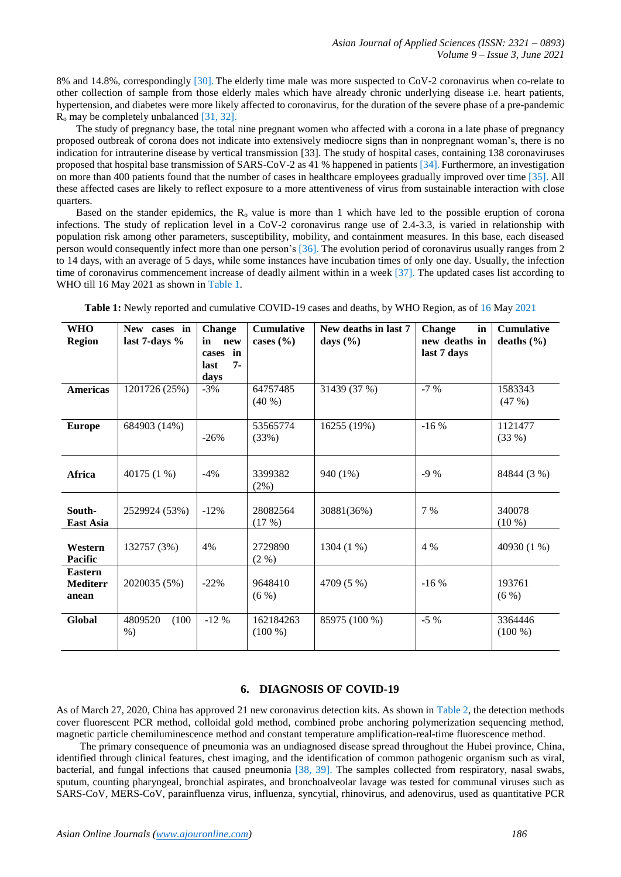8% and 14.8%, correspondingly [30]. The elderly time male was more suspected to CoV-2 coronavirus when co-relate to other collection of sample from those elderly males which have already chronic underlying disease i.e. heart patients, hypertension, and diabetes were more likely affected to coronavirus, for the duration of the severe phase of a pre-pandemic  $R_0$  may be completely unbalanced [31, 32].

 The study of pregnancy base, the total nine pregnant women who affected with a corona in a late phase of pregnancy proposed outbreak of corona does not indicate into extensively mediocre signs than in nonpregnant woman's, there is no indication for intrauterine disease by vertical transmission [33]. The study of hospital cases, containing 138 coronaviruses proposed that hospital base transmission of SARS-CoV-2 as 41 % happened in patients [34]. Furthermore, an investigation on more than 400 patients found that the number of cases in healthcare employees gradually improved over time [35]. All these affected cases are likely to reflect exposure to a more attentiveness of virus from sustainable interaction with close quarters.

Based on the stander epidemics, the  $R_0$  value is more than 1 which have led to the possible eruption of corona infections. The study of replication level in a CoV-2 coronavirus range use of 2.4-3.3, is varied in relationship with population risk among other parameters, susceptibility, mobility, and containment measures. In this base, each diseased person would consequently infect more than one person's [36]. The evolution period of coronavirus usually ranges from 2 to 14 days, with an average of 5 days, while some instances have incubation times of only one day. Usually, the infection time of coronavirus commencement increase of deadly ailment within in a week [37]. The updated cases list according to WHO till 16 May 2021 as shown in Table 1.

| <b>WHO</b><br><b>Region</b>                | New cases in<br>last 7-days % | <b>Change</b><br>in<br>new<br>in<br>cases<br>$7 -$<br>last<br>days | <b>Cumulative</b><br>cases $(\% )$ | New deaths in last 7<br>days $(\% )$ | in<br><b>Change</b><br>new deaths in<br>last 7 days | <b>Cumulative</b><br>deaths $(\% )$ |
|--------------------------------------------|-------------------------------|--------------------------------------------------------------------|------------------------------------|--------------------------------------|-----------------------------------------------------|-------------------------------------|
| <b>Americas</b>                            | 1201726 (25%)                 | $-3%$                                                              | 64757485<br>$(40\%)$               | 31439 (37 %)                         | $-7%$                                               | 1583343<br>(47%)                    |
| <b>Europe</b>                              | 684903 (14%)                  | $-26%$                                                             | 53565774<br>(33%)                  | 16255 (19%)                          | $-16%$                                              | 1121477<br>(33%)                    |
| <b>Africa</b>                              | 40175 (1 %)                   | $-4%$                                                              | 3399382<br>$(2\%)$                 | 940 (1%)                             | $-9\%$                                              | 84844 (3 %)                         |
| South-<br>East Asia                        | 2529924 (53%)                 | $-12%$                                                             | 28082564<br>(17%)                  | 30881(36%)                           | 7 %                                                 | 340078<br>$(10\%)$                  |
| Western<br><b>Pacific</b>                  | 132757 (3%)                   | 4%                                                                 | 2729890<br>$(2 \%)$                | 1304 (1 %)                           | 4 %                                                 | 40930 (1 %)                         |
| <b>Eastern</b><br><b>Mediterr</b><br>anean | 2020035 (5%)                  | $-22%$                                                             | 9648410<br>(6%)                    | 4709 (5 %)                           | $-16%$                                              | 193761<br>(6%)                      |
| <b>Global</b>                              | 4809520<br>(100)<br>$%$ )     | $-12%$                                                             | 162184263<br>$(100\%)$             | 85975 (100 %)                        | $-5\%$                                              | 3364446<br>$(100\%)$                |

**Table 1:** Newly reported and cumulative COVID-19 cases and deaths, by WHO Region, as of 16 May 2021

#### **6. DIAGNOSIS OF COVID-19**

As of March 27, 2020, China has approved 21 new coronavirus detection kits. As shown in Table 2, the detection methods cover fluorescent PCR method, colloidal gold method, combined probe anchoring polymerization sequencing method, magnetic particle chemiluminescence method and constant temperature amplification-real-time fluorescence method.

 The primary consequence of pneumonia was an undiagnosed disease spread throughout the Hubei province, China, identified through clinical features, chest imaging, and the identification of common pathogenic organism such as viral, bacterial, and fungal infections that caused pneumonia [38, 39]. The samples collected from respiratory, nasal swabs, sputum, counting pharyngeal, bronchial aspirates, and bronchoalveolar lavage was tested for communal viruses such as SARS-CoV, MERS-CoV, parainfluenza virus, influenza, syncytial, rhinovirus, and adenovirus, used as quantitative PCR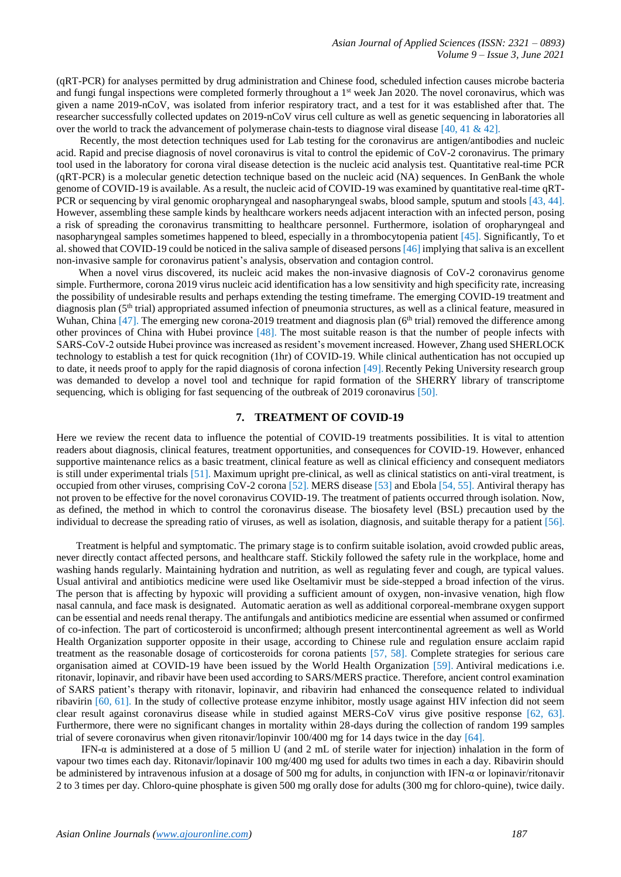(qRT-PCR) for analyses permitted by drug administration and Chinese food, scheduled infection causes microbe bacteria and fungi fungal inspections were completed formerly throughout a 1<sup>st</sup> week Jan 2020. The novel coronavirus, which was given a name 2019-nCoV, was isolated from inferior respiratory tract, and a test for it was established after that. The researcher successfully collected updates on 2019-nCoV virus cell culture as well as genetic sequencing in laboratories all over the world to track the advancement of polymerase chain-tests to diagnose viral disease [40, 41 & 42].

 Recently, the most detection techniques used for Lab testing for the coronavirus are antigen/antibodies and nucleic acid. Rapid and precise diagnosis of novel coronavirus is vital to control the epidemic of CoV-2 coronavirus. The primary tool used in the laboratory for corona viral disease detection is the nucleic acid analysis test. Quantitative real-time PCR (qRT-PCR) is a molecular genetic detection technique based on the nucleic acid (NA) sequences. In GenBank the whole genome of COVID-19 is available. As a result, the nucleic acid of COVID-19 was examined by quantitative real-time qRT-PCR or sequencing by viral genomic oropharyngeal and nasopharyngeal swabs, blood sample, sputum and stools [43, 44]. However, assembling these sample kinds by healthcare workers needs adjacent interaction with an infected person, posing a risk of spreading the coronavirus transmitting to healthcare personnel. Furthermore, isolation of oropharyngeal and nasopharyngeal samples sometimes happened to bleed, especially in a thrombocytopenia patient [45]. Significantly, To et al. showed that COVID-19 could be noticed in the saliva sample of diseased persons[46] implying that saliva is an excellent non-invasive sample for coronavirus patient's analysis, observation and contagion control.

When a novel virus discovered, its nucleic acid makes the non-invasive diagnosis of CoV-2 coronavirus genome simple. Furthermore, corona 2019 virus nucleic acid identification has a low sensitivity and high specificity rate, increasing the possibility of undesirable results and perhaps extending the testing timeframe. The emerging COVID-19 treatment and diagnosis plan  $(5<sup>th</sup> trial)$  appropriated assumed infection of pneumonia structures, as well as a clinical feature, measured in Wuhan, China [47]. The emerging new corona-2019 treatment and diagnosis plan (6<sup>th</sup> trial) removed the difference among other provinces of China with Hubei province [48]. The most suitable reason is that the number of people infects with SARS-CoV-2 outside Hubei province was increased as resident's movement increased. However, Zhang used SHERLOCK technology to establish a test for quick recognition (1hr) of COVID-19. While clinical authentication has not occupied up to date, it needs proof to apply for the rapid diagnosis of corona infection [49]. Recently Peking University research group was demanded to develop a novel tool and technique for rapid formation of the SHERRY library of transcriptome sequencing, which is obliging for fast sequencing of the outbreak of 2019 coronavirus [50].

#### **7. TREATMENT OF COVID-19**

Here we review the recent data to influence the potential of COVID-19 treatments possibilities. It is vital to attention readers about diagnosis, clinical features, treatment opportunities, and consequences for COVID-19. However, enhanced supportive maintenance relics as a basic treatment, clinical feature as well as clinical efficiency and consequent mediators is still under experimental trials [51]. Maximum upright pre-clinical, as well as clinical statistics on anti-viral treatment, is occupied from other viruses, comprising CoV-2 corona [52]. MERS disease [53] and Ebola [54, 55]. Antiviral therapy has not proven to be effective for the novel coronavirus COVID-19. The treatment of patients occurred through isolation. Now, as defined, the method in which to control the coronavirus disease. The biosafety level (BSL) precaution used by the individual to decrease the spreading ratio of viruses, as well as isolation, diagnosis, and suitable therapy for a patient [56].

 Treatment is helpful and symptomatic. The primary stage is to confirm suitable isolation, avoid crowded public areas, never directly contact affected persons, and healthcare staff. Stickily followed the safety rule in the workplace, home and washing hands regularly. Maintaining hydration and nutrition, as well as regulating fever and cough, are typical values. Usual antiviral and antibiotics medicine were used like Oseltamivir must be side-stepped a broad infection of the virus. The person that is affecting by hypoxic will providing a sufficient amount of oxygen, non-invasive venation, high flow nasal cannula, and face mask is designated. Automatic aeration as well as additional corporeal-membrane oxygen support can be essential and needs renal therapy. The antifungals and antibiotics medicine are essential when assumed or confirmed of co-infection. The part of corticosteroid is unconfirmed; although present intercontinental agreement as well as World Health Organization supporter opposite in their usage, according to Chinese rule and regulation ensure acclaim rapid treatment as the reasonable dosage of corticosteroids for corona patients [57, 58]. Complete strategies for serious care organisation aimed at COVID-19 have been issued by the World Health Organization [59]. Antiviral medications i.e. ritonavir, lopinavir, and ribavir have been used according to SARS/MERS practice. Therefore, ancient control examination of SARS patient's therapy with ritonavir, lopinavir, and ribavirin had enhanced the consequence related to individual ribavirin [60, 61]. In the study of collective protease enzyme inhibitor, mostly usage against HIV infection did not seem clear result against coronavirus disease while in studied against MERS-CoV virus give positive response [62, 63]. Furthermore, there were no significant changes in mortality within 28-days during the collection of random 199 samples trial of severe coronavirus when given ritonavir/lopinvir 100/400 mg for 14 days twice in the day [64].

 IFN-α is administered at a dose of 5 million U (and 2 mL of sterile water for injection) inhalation in the form of vapour two times each day. Ritonavir/lopinavir 100 mg/400 mg used for adults two times in each a day. Ribavirin should be administered by intravenous infusion at a dosage of 500 mg for adults, in conjunction with IFN-α or lopinavir/ritonavir 2 to 3 times per day. Chloro-quine phosphate is given 500 mg orally dose for adults (300 mg for chloro-quine), twice daily.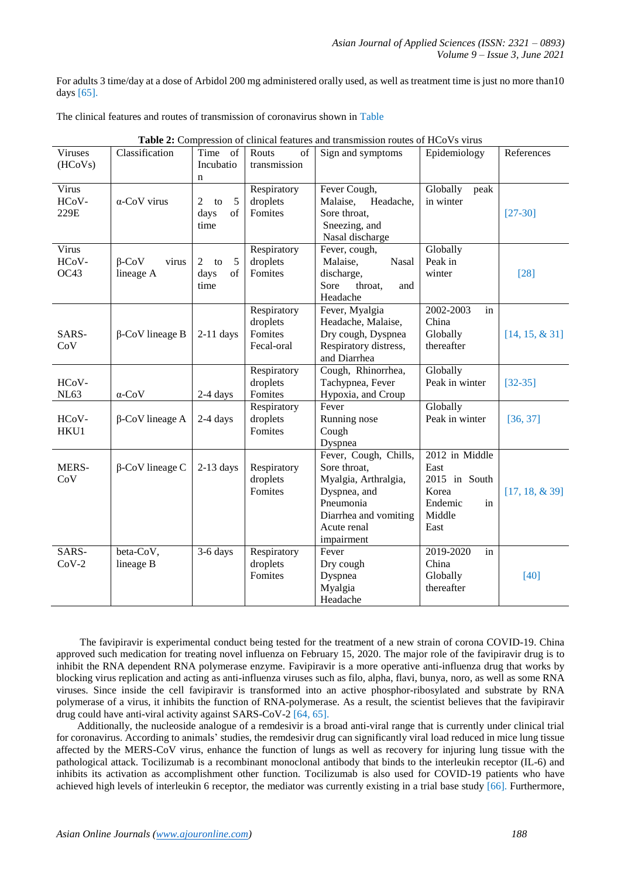For adults 3 time/day at a dose of Arbidol 200 mg administered orally used, as well as treatment time is just no more than10 days [65].

The clinical features and routes of transmission of coronavirus shown in Table

| <b>Viruses</b><br>(HCoVs) | Classification                     | Time of<br>Incubatio<br>$\mathbf n$ | Routs<br>of<br>transmission                      | Sign and symptoms                                                                                                                                | Epidemiology                                                                        | References        |
|---------------------------|------------------------------------|-------------------------------------|--------------------------------------------------|--------------------------------------------------------------------------------------------------------------------------------------------------|-------------------------------------------------------------------------------------|-------------------|
| Virus<br>HCoV-<br>229E    | $\alpha$ -CoV virus                | 2<br>5<br>to<br>of<br>days<br>time  | Respiratory<br>droplets<br>Fomites               | Fever Cough,<br>Malaise,<br>Headache,<br>Sore throat,<br>Sneezing, and<br>Nasal discharge                                                        | Globally<br>peak<br>in winter                                                       | $[27-30]$         |
| Virus<br>HCoV-<br>OC43    | $\beta$ -CoV<br>virus<br>lineage A | 5<br>2<br>to<br>of<br>days<br>time  | Respiratory<br>droplets<br>Fomites               | Fever, cough,<br>Malaise,<br>Nasal<br>discharge,<br>Sore<br>throat,<br>and<br>Headache                                                           | Globally<br>Peak in<br>winter                                                       | $[28]$            |
| SARS-<br>CoV              | $\beta$ -CoV lineage B             | $2-11$ days                         | Respiratory<br>droplets<br>Fomites<br>Fecal-oral | Fever, Myalgia<br>Headache, Malaise,<br>Dry cough, Dyspnea<br>Respiratory distress,<br>and Diarrhea                                              | 2002-2003<br>in<br>China<br>Globally<br>thereafter                                  | $[14, 15, \& 31]$ |
| HCoV-<br><b>NL63</b>      | $\alpha$ -CoV                      | 2-4 days                            | Respiratory<br>droplets<br>Fomites               | Cough, Rhinorrhea,<br>Tachypnea, Fever<br>Hypoxia, and Croup                                                                                     | Globally<br>Peak in winter                                                          | $[32 - 35]$       |
| HCoV-<br>HKU1             | β-CoV lineage A                    | $2-4$ days                          | Respiratory<br>droplets<br>Fomites               | Fever<br>Running nose<br>Cough<br>Dyspnea                                                                                                        | Globally<br>Peak in winter                                                          | [36, 37]          |
| MERS-<br>CoV              | $\beta$ -CoV lineage C             | $2-13$ days                         | Respiratory<br>droplets<br>Fomites               | Fever, Cough, Chills,<br>Sore throat,<br>Myalgia, Arthralgia,<br>Dyspnea, and<br>Pneumonia<br>Diarrhea and vomiting<br>Acute renal<br>impairment | 2012 in Middle<br>East<br>2015 in South<br>Korea<br>Endemic<br>in<br>Middle<br>East | $[17, 18, \& 39]$ |
| SARS-<br>$CoV-2$          | beta-CoV,<br>lineage B             | $3-6$ days                          | Respiratory<br>droplets<br>Fomites               | Fever<br>Dry cough<br>Dyspnea<br>Myalgia<br>Headache                                                                                             | 2019-2020<br>in<br>China<br>Globally<br>thereafter                                  | [40]              |

**Table 2:** Compression of clinical features and transmission routes of HCoVs virus

 The favipiravir is experimental conduct being tested for the treatment of a new strain of corona COVID-19. China approved such medication for treating novel influenza on February 15, 2020. The major role of the favipiravir drug is to inhibit the RNA dependent RNA polymerase enzyme. Favipiravir is a more operative anti-influenza drug that works by blocking virus replication and acting as anti-influenza viruses such as filo, alpha, flavi, bunya, noro, as well as some RNA viruses. Since inside the cell favipiravir is transformed into an active phosphor-ribosylated and substrate by RNA polymerase of a virus, it inhibits the function of RNA-polymerase. As a result, the scientist believes that the favipiravir drug could have anti-viral activity against SARS-CoV-2 [64, 65].

 Additionally, the nucleoside analogue of a remdesivir is a broad anti-viral range that is currently under clinical trial for coronavirus. According to animals' studies, the remdesivir drug can significantly viral load reduced in mice lung tissue affected by the MERS-CoV virus, enhance the function of lungs as well as recovery for injuring lung tissue with the pathological attack. Tocilizumab is a recombinant monoclonal antibody that binds to the interleukin receptor (IL-6) and inhibits its activation as accomplishment other function. Tocilizumab is also used for COVID-19 patients who have achieved high levels of interleukin 6 receptor, the mediator was currently existing in a trial base study [66]. Furthermore,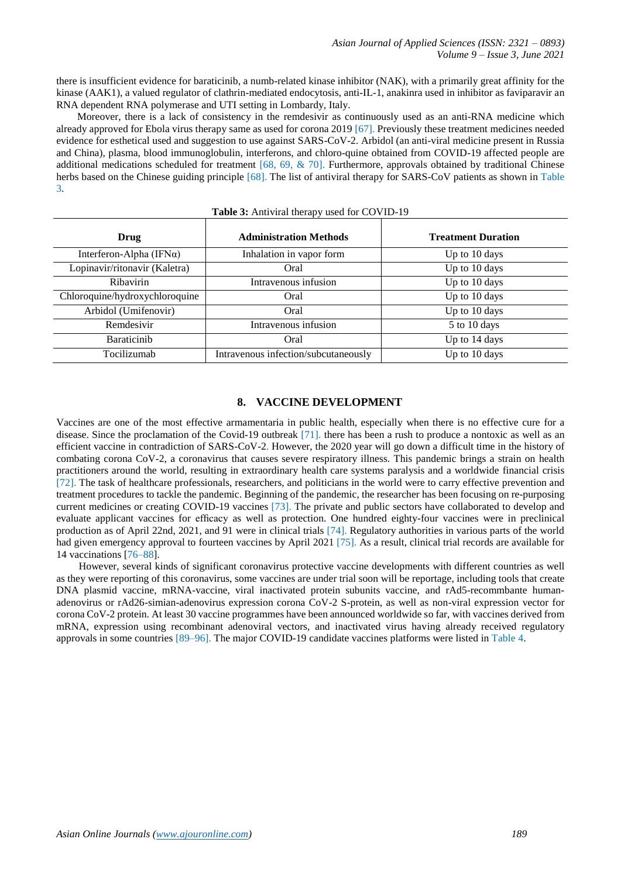there is insufficient evidence for baraticinib, a numb-related kinase inhibitor (NAK), with a primarily great affinity for the kinase (AAK1), a valued regulator of clathrin-mediated endocytosis, anti-IL-1, anakinra used in inhibitor as faviparavir an RNA dependent RNA polymerase and UTI setting in Lombardy, Italy.

 Moreover, there is a lack of consistency in the remdesivir as continuously used as an anti-RNA medicine which already approved for Ebola virus therapy same as used for corona 2019 [67]. Previously these treatment medicines needed evidence for esthetical used and suggestion to use against SARS-CoV-2. Arbidol (an anti-viral medicine present in Russia and China), plasma, blood immunoglobulin, interferons, and chloro-quine obtained from COVID-19 affected people are additional medications scheduled for treatment [68, 69, & 70]. Furthermore, approvals obtained by traditional Chinese herbs based on the Chinese guiding principle [68]. The list of antiviral therapy for SARS-CoV patients as shown in Table 3.

| <b>THERE</b> OF THILL THE ENGLISHMENT CO THE 12 |                                      |                           |  |  |  |
|-------------------------------------------------|--------------------------------------|---------------------------|--|--|--|
| Drug                                            | <b>Administration Methods</b>        | <b>Treatment Duration</b> |  |  |  |
| Interferon-Alpha (IFN $\alpha$ )                | Inhalation in vapor form             | Up to 10 days             |  |  |  |
| Lopinavir/ritonavir (Kaletra)                   | Oral                                 | Up to 10 days             |  |  |  |
| Ribavirin                                       | Intravenous infusion                 | Up to 10 days             |  |  |  |
| Chloroquine/hydroxychloroquine                  | Oral                                 | Up to 10 days             |  |  |  |
| Arbidol (Umifenovir)                            | Oral                                 | Up to 10 days             |  |  |  |
| Remdesivir                                      | Intravenous infusion                 | 5 to 10 days              |  |  |  |
| <b>Baraticinib</b>                              | Oral                                 | Up to 14 days             |  |  |  |
| Tocilizumab                                     | Intravenous infection/subcutaneously | Up to 10 days             |  |  |  |

## **Table 3:** Antiviral therapy used for COVID-19

#### **8. VACCINE DEVELOPMENT**

Vaccines are one of the most effective armamentaria in public health, especially when there is no effective cure for a disease. Since the proclamation of the Covid-19 outbreak [71]. there has been a rush to produce a nontoxic as well as an efficient vaccine in contradiction of SARS-CoV-2. However, the 2020 year will go down a difficult time in the history of combating corona CoV-2, a coronavirus that causes severe respiratory illness. This pandemic brings a strain on health practitioners around the world, resulting in extraordinary health care systems paralysis and a worldwide financial crisis [72]. The task of healthcare professionals, researchers, and politicians in the world were to carry effective prevention and treatment procedures to tackle the pandemic. Beginning of the pandemic, the researcher has been focusing on re-purposing current medicines or creating COVID-19 vaccines [73]. The private and public sectors have collaborated to develop and evaluate applicant vaccines for efficacy as well as protection. One hundred eighty-four vaccines were in preclinical production as of April 22nd, 2021, and 91 were in clinical trials [74]. Regulatory authorities in various parts of the world had given emergency approval to fourteen vaccines by April 2021 [75]. As a result, clinical trial records are available for 14 vaccinations [76–88].

 However, several kinds of significant coronavirus protective vaccine developments with different countries as well as they were reporting of this coronavirus, some vaccines are under trial soon will be reportage, including tools that create DNA plasmid vaccine, mRNA-vaccine, viral inactivated protein subunits vaccine, and rAd5-recommbante humanadenovirus or rAd26-simian-adenovirus expression corona CoV-2 S-protein, as well as non-viral expression vector for corona CoV-2 protein. At least 30 vaccine programmes have been announced worldwide so far, with vaccines derived from mRNA, expression using recombinant adenoviral vectors, and inactivated virus having already received regulatory approvals in some countries [89–96]. The major COVID-19 candidate vaccines platforms were listed in Table 4.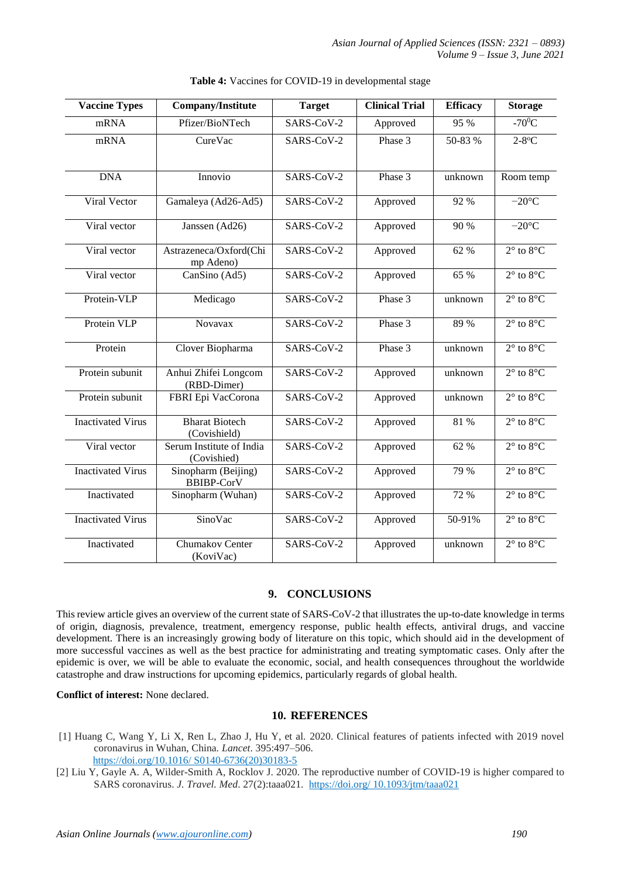| <b>Vaccine Types</b>     | <b>Company/Institute</b>                 | <b>Target</b> | <b>Clinical Trial</b> | <b>Efficacy</b> | <b>Storage</b>               |
|--------------------------|------------------------------------------|---------------|-----------------------|-----------------|------------------------------|
| mRNA                     | Pfizer/BioNTech                          | SARS-CoV-2    | Approved              | 95 %            | $-70^0$ C                    |
| mRNA                     | CureVac                                  | SARS-CoV-2    | Phase 3               | 50-83 %         | $2-8$ °C                     |
| <b>DNA</b>               | Innovio                                  | SARS-CoV-2    | Phase 3               | unknown         | Room temp                    |
| Viral Vector             | Gamaleya (Ad26-Ad5)                      | SARS-CoV-2    | Approved              | 92 %            | $-20^{\circ}$ C              |
| Viral vector             | Janssen (Ad26)                           | SARS-CoV-2    | Approved              | 90 %            | $-20^{\circ}$ C              |
| Viral vector             | Astrazeneca/Oxford(Chi<br>mp Adeno)      | SARS-CoV-2    | Approved              | 62 %            | $2^\circ$ to $8^\circ$ C     |
| Viral vector             | CanSino (Ad5)                            | SARS-CoV-2    | Approved              | 65 %            | $2^\circ$ to $8^\circ$ C     |
| Protein-VLP              | Medicago                                 | SARS-CoV-2    | Phase 3               | unknown         | $2^{\circ}$ to $8^{\circ}$ C |
| Protein VLP              | Novavax                                  | SARS-CoV-2    | Phase 3               | 89 %            | $2^\circ$ to $8^\circ$ C     |
| Protein                  | Clover Biopharma                         | SARS-CoV-2    | Phase 3               | unknown         | $2^\circ$ to $8^\circ$ C     |
| Protein subunit          | Anhui Zhifei Longcom<br>(RBD-Dimer)      | SARS-CoV-2    | Approved              | unknown         | $2^\circ$ to $8^\circ$ C     |
| Protein subunit          | FBRI Epi VacCorona                       | SARS-CoV-2    | Approved              | unknown         | $2^\circ$ to $8^\circ$ C     |
| <b>Inactivated Virus</b> | <b>Bharat Biotech</b><br>(Covishield)    | SARS-CoV-2    | Approved              | 81 %            | $2^\circ$ to $8^\circ$ C     |
| Viral vector             | Serum Institute of India<br>(Covishied)  | SARS-CoV-2    | Approved              | 62 %            | $2^\circ$ to $8^\circ$ C     |
| <b>Inactivated Virus</b> | Sinopharm (Beijing)<br><b>BBIBP-CorV</b> | SARS-CoV-2    | Approved              | 79 %            | $2^\circ$ to $8^\circ$ C     |
| Inactivated              | Sinopharm (Wuhan)                        | SARS-CoV-2    | Approved              | 72 %            | $2^\circ$ to $8^\circ$ C     |
| <b>Inactivated Virus</b> | SinoVac                                  | SARS-CoV-2    | Approved              | 50-91%          | $2^\circ$ to $8^\circ$ C     |
| Inactivated              | Chumakov Center<br>(KoviVac)             | SARS-CoV-2    | Approved              | unknown         | $2^{\circ}$ to $8^{\circ}$ C |

#### **Table 4:** Vaccines for COVID-19 in developmental stage

#### **9. CONCLUSIONS**

This review article gives an overview of the current state of SARS-CoV-2 that illustrates the up-to-date knowledge in terms of origin, diagnosis, prevalence, treatment, emergency response, public health effects, antiviral drugs, and vaccine development. There is an increasingly growing body of literature on this topic, which should aid in the development of more successful vaccines as well as the best practice for administrating and treating symptomatic cases. Only after the epidemic is over, we will be able to evaluate the economic, social, and health consequences throughout the worldwide catastrophe and draw instructions for upcoming epidemics, particularly regards of global health.

## **Conflict of interest:** None declared.

#### **10. REFERENCES**

[1] Huang C, Wang Y, Li X, Ren L, Zhao J, Hu Y, et al. 2020. Clinical features of patients infected with 2019 novel coronavirus in Wuhan, China. *Lancet*. 395:497–506. https://doi.org/10.1016/ S0140-6736(20)30183-5

[2] Liu Y, Gayle A. A, Wilder-Smith A, Rocklov J. 2020. The reproductive number of COVID-19 is higher compared to SARS coronavirus. *J. Travel. Med*. 27(2):taaa021. https://doi.org/ 10.1093/jtm/taaa021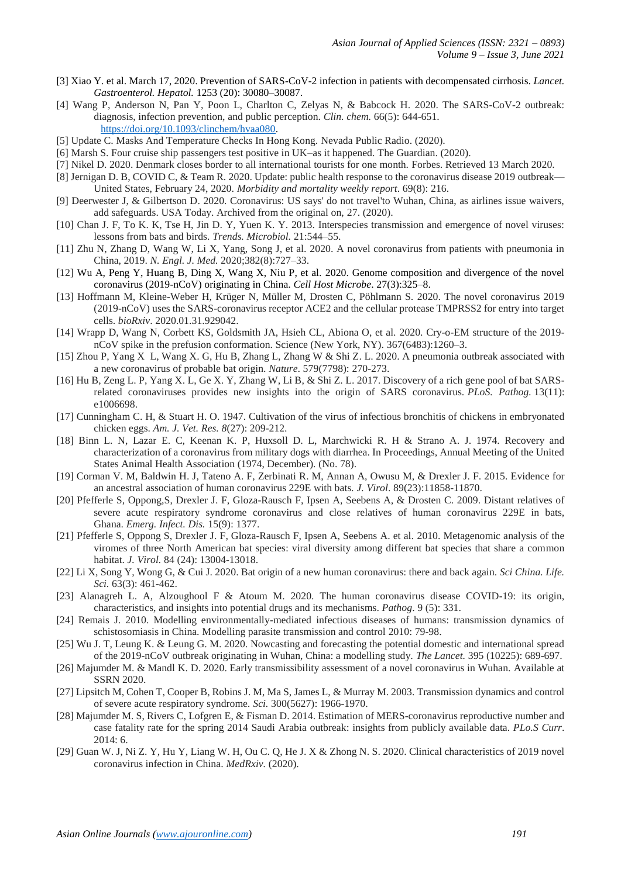- [3] Xiao Y. et al. March 17, 2020. Prevention of SARS-CoV-2 infection in patients with decompensated cirrhosis. *Lancet. Gastroenterol. Hepatol.* 1253 (20): 30080–30087.
- [4] Wang P, Anderson N, Pan Y, Poon L, Charlton C, Zelyas N, & Babcock H. 2020. The SARS-CoV-2 outbreak: diagnosis, infection prevention, and public perception. *Clin. chem.* 66(5): 644-651. [https://doi.org/10.1093/clinchem/hvaa080.](https://doi.org/10.1093/clinchem/hvaa080)
- [5] Update C. Masks And Temperature Checks In Hong Kong. Nevada Public Radio. (2020).
- [6] Marsh S. Four cruise ship passengers test positive in UK–as it happened. The Guardian. (2020).
- [7] Nikel D. 2020. Denmark closes border to all international tourists for one month. Forbes. Retrieved 13 March 2020.
- [8] Jernigan D. B, COVID C, & Team R. 2020. Update: public health response to the coronavirus disease 2019 outbreak— United States, February 24, 2020. *Morbidity and mortality weekly report*. 69(8): 216.
- [9] Deerwester J, & Gilbertson D. 2020. Coronavirus: US says' do not travel'to Wuhan, China, as airlines issue waivers, add safeguards. USA Today. Archived from the original on, 27. (2020).
- [10] Chan J. F, To K. K, Tse H, Jin D. Y, Yuen K. Y. 2013. Interspecies transmission and emergence of novel viruses: lessons from bats and birds. *Trends. Microbiol.* 21:544–55.
- [11] Zhu N, Zhang D, Wang W, Li X, Yang, Song J, et al. 2020. A novel coronavirus from patients with pneumonia in China, 2019. *N. Engl. J. Med.* 2020;382(8):727–33.
- [12] Wu A, Peng Y, Huang B, Ding X, Wang X, Niu P, et al. 2020. Genome composition and divergence of the novel coronavirus (2019-nCoV) originating in China. *Cell Host Microbe*. 27(3):325–8.
- [13] Hoffmann M, Kleine-Weber H, Krüger N, Müller M, Drosten C, Pöhlmann S. 2020. The novel coronavirus 2019 (2019-nCoV) uses the SARS-coronavirus receptor ACE2 and the cellular protease TMPRSS2 for entry into target cells. *bioRxiv*. 2020.01.31.929042.
- [14] Wrapp D, Wang N, Corbett KS, Goldsmith JA, Hsieh CL, Abiona O, et al. 2020. Cry-o-EM structure of the 2019 nCoV spike in the prefusion conformation. Science (New York, NY). 367(6483):1260–3.
- [15] Zhou P, Yang X L, Wang X. G, Hu B, Zhang L, Zhang W & Shi Z. L. 2020. A pneumonia outbreak associated with a new coronavirus of probable bat origin. *Nature*. 579(7798): 270-273.
- [16] Hu B, Zeng L. P, Yang X. L, Ge X. Y, Zhang W, Li B, & Shi Z. L. 2017. Discovery of a rich gene pool of bat SARSrelated coronaviruses provides new insights into the origin of SARS coronavirus. *PLoS. Pathog.* 13(11): e1006698.
- [17] Cunningham C. H, & Stuart H. O. 1947. Cultivation of the virus of infectious bronchitis of chickens in embryonated chicken eggs. *Am. J. Vet. Res. 8*(27): 209-212.
- [18] Binn L. N, Lazar E. C, Keenan K. P, Huxsoll D. L, Marchwicki R. H & Strano A. J. 1974. Recovery and characterization of a coronavirus from military dogs with diarrhea. In Proceedings, Annual Meeting of the United States Animal Health Association (1974, December). (No. 78).
- [19] Corman V. M, Baldwin H. J, Tateno A. F, Zerbinati R. M, Annan A, Owusu M, & Drexler J. F. 2015. Evidence for an ancestral association of human coronavirus 229E with bats*. J. Virol*. 89(23):11858-11870.
- [20] Pfefferle S, Oppong,S, Drexler J. F, Gloza-Rausch F, Ipsen A, Seebens A, & Drosten C. 2009. Distant relatives of severe acute respiratory syndrome coronavirus and close relatives of human coronavirus 229E in bats, Ghana. *Emerg. Infect. Dis.* 15(9): 1377.
- [21] Pfefferle S, Oppong S, Drexler J. F, Gloza-Rausch F, Ipsen A, Seebens A. et al. 2010. Metagenomic analysis of the viromes of three North American bat species: viral diversity among different bat species that share a common habitat. *J. Virol.* 84 (24): 13004-13018.
- [22] Li X, Song Y, Wong G, & Cui J. 2020. Bat origin of a new human coronavirus: there and back again. *Sci China. Life. Sci.* 63(3): 461-462.
- [23] Alanagreh L. A, Alzoughool F & Atoum M. 2020. The human coronavirus disease COVID-19: its origin, characteristics, and insights into potential drugs and its mechanisms. *Pathog*. 9 (5): 331.
- [24] Remais J. 2010. Modelling environmentally-mediated infectious diseases of humans: transmission dynamics of schistosomiasis in China. Modelling parasite transmission and control 2010: 79-98.
- [25] Wu J. T, Leung K. & Leung G. M. 2020. Nowcasting and forecasting the potential domestic and international spread of the 2019-nCoV outbreak originating in Wuhan, China: a modelling study. *The Lancet.* 395 (10225): 689-697.
- [26] Majumder M. & Mandl K. D. 2020. Early transmissibility assessment of a novel coronavirus in Wuhan. Available at SSRN 2020.
- [27] Lipsitch M, Cohen T, Cooper B, Robins J. M, Ma S, James L, & Murray M. 2003. Transmission dynamics and control of severe acute respiratory syndrome*. Sci.* 300(5627): 1966-1970.
- [28] Majumder M. S, Rivers C, Lofgren E, & Fisman D. 2014. Estimation of MERS-coronavirus reproductive number and case fatality rate for the spring 2014 Saudi Arabia outbreak: insights from publicly available data. *PLo.S Curr*. 2014: 6.
- [29] Guan W. J, Ni Z. Y, Hu Y, Liang W. H, Ou C. Q, He J. X & Zhong N. S. 2020. Clinical characteristics of 2019 novel coronavirus infection in China. *MedRxiv.* (2020).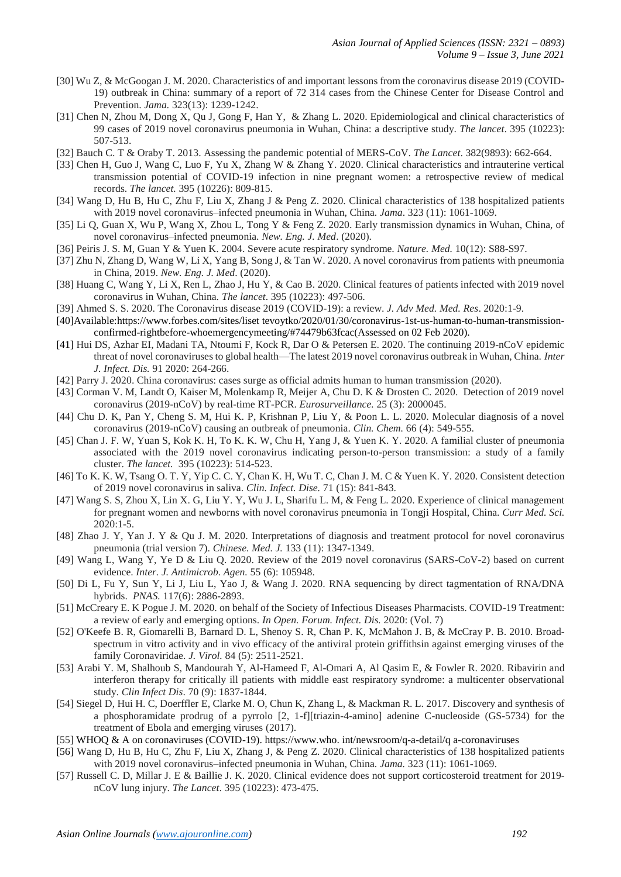- [30] Wu Z, & McGoogan J. M. 2020. Characteristics of and important lessons from the coronavirus disease 2019 (COVID-19) outbreak in China: summary of a report of 72 314 cases from the Chinese Center for Disease Control and Prevention. *Jama.* 323(13): 1239-1242.
- [31] Chen N, Zhou M, Dong X, Qu J, Gong F, Han Y, & Zhang L. 2020. Epidemiological and clinical characteristics of 99 cases of 2019 novel coronavirus pneumonia in Wuhan, China: a descriptive study. *The lancet*. 395 (10223): 507-513.
- [32] Bauch C. T & Oraby T. 2013. Assessing the pandemic potential of MERS-CoV. *The Lancet*. 382(9893): 662-664.
- [33] Chen H, Guo J, Wang C, Luo F, Yu X, Zhang W & Zhang Y. 2020. Clinical characteristics and intrauterine vertical transmission potential of COVID-19 infection in nine pregnant women: a retrospective review of medical records. *The lancet.* 395 (10226): 809-815.
- [34] Wang D, Hu B, Hu C, Zhu F, Liu X, Zhang J & Peng Z. 2020. Clinical characteristics of 138 hospitalized patients with 2019 novel coronavirus–infected pneumonia in Wuhan, China. *Jama*. 323 (11): 1061-1069.
- [35] Li Q, Guan X, Wu P, Wang X, Zhou L, Tong Y & Feng Z. 2020. Early transmission dynamics in Wuhan, China, of novel coronavirus–infected pneumonia. *New. Eng. J. Med*. (2020).
- [36] Peiris J. S. M, Guan Y & Yuen K. 2004. Severe acute respiratory syndrome. *Nature. Med.* 10(12): S88-S97.
- [37] Zhu N, Zhang D, Wang W, Li X, Yang B, Song J, & Tan W. 2020. A novel coronavirus from patients with pneumonia in China, 2019. *New. Eng. J. Med*. (2020).
- [38] Huang C, Wang Y, Li X, Ren L, Zhao J, Hu Y, & Cao B. 2020. Clinical features of patients infected with 2019 novel coronavirus in Wuhan, China. *The lancet*. 395 (10223): 497-506.
- [39] Ahmed S. S. 2020. The Coronavirus disease 2019 (COVID-19): a review. *J. Adv Med. Med. Res*. 2020:1-9.
- [40]Available:https://www.forbes.com/sites/liset tevoytko/2020/01/30/coronavirus-1st-us-human-to-human-transmissionconfirmed-rightbefore-whoemergencymeeting/#74479b63fcac(Assessed on 02 Feb 2020).
- [41] Hui DS, Azhar EI, Madani TA, Ntoumi F, Kock R, Dar O & Petersen E. 2020. The continuing 2019-nCoV epidemic threat of novel coronaviruses to global health—The latest 2019 novel coronavirus outbreak in Wuhan, China. *Inter J. Infect. Dis.* 91 2020: 264-266.
- [42] Parry J. 2020. China coronavirus: cases surge as official admits human to human transmission (2020).
- [43] Corman V. M, Landt O, Kaiser M, Molenkamp R, Meijer A, Chu D. K & Drosten C. 2020. Detection of 2019 novel coronavirus (2019-nCoV) by real-time RT-PCR. *Eurosurveillance.* 25 (3): 2000045.
- [44] Chu D. K, Pan Y, Cheng S. M, Hui K. P, Krishnan P, Liu Y, & Poon L. L. 2020. Molecular diagnosis of a novel coronavirus (2019-nCoV) causing an outbreak of pneumonia. *Clin. Chem.* 66 (4): 549-555.
- [45] Chan J. F. W, Yuan S, Kok K. H, To K. K. W, Chu H, Yang J, & Yuen K. Y. 2020. A familial cluster of pneumonia associated with the 2019 novel coronavirus indicating person-to-person transmission: a study of a family cluster. *The lancet.* 395 (10223): 514-523.
- [46] To K. K. W, Tsang O. T. Y, Yip C. C. Y, Chan K. H, Wu T. C, Chan J. M. C & Yuen K. Y. 2020. Consistent detection of 2019 novel coronavirus in saliva. *Clin. Infect. Dise.* 71 (15): 841-843.
- [47] Wang S. S, Zhou X, Lin X. G, Liu Y. Y, Wu J. L, Sharifu L. M, & Feng L. 2020. Experience of clinical management for pregnant women and newborns with novel coronavirus pneumonia in Tongji Hospital, China. *Curr Med. Sci.* 2020:1-5.
- [48] Zhao J. Y, Yan J. Y & Qu J. M. 2020. Interpretations of diagnosis and treatment protocol for novel coronavirus pneumonia (trial version 7). *Chinese. Med. J.* 133 (11): 1347-1349.
- [49] Wang L, Wang Y, Ye D & Liu Q. 2020. Review of the 2019 novel coronavirus (SARS-CoV-2) based on current evidence. *Inter. J. Antimicrob. Agen.* 55 (6): 105948.
- [50] Di L, Fu Y, Sun Y, Li J, Liu L, Yao J, & Wang J. 2020. RNA sequencing by direct tagmentation of RNA/DNA hybrids. *PNAS.* 117(6): 2886-2893.
- [51] McCreary E. K Pogue J. M. 2020. on behalf of the Society of Infectious Diseases Pharmacists. COVID-19 Treatment: a review of early and emerging options. *In Open. Forum. Infect. Dis.* 2020: (Vol. 7)
- [52] O'Keefe B. R, Giomarelli B, Barnard D. L, Shenoy S. R, Chan P. K, McMahon J. B, & McCray P. B. 2010. Broadspectrum in vitro activity and in vivo efficacy of the antiviral protein griffithsin against emerging viruses of the family Coronaviridae. *J. Virol.* 84 (5): 2511-2521.
- [53] Arabi Y. M, Shalhoub S, Mandourah Y, Al-Hameed F, Al-Omari A, Al Qasim E, & Fowler R. 2020. Ribavirin and interferon therapy for critically ill patients with middle east respiratory syndrome: a multicenter observational study. *Clin Infect Dis*. 70 (9): 1837-1844.
- [54] Siegel D, Hui H. C, Doerffler E, Clarke M. O, Chun K, Zhang L, & Mackman R. L. 2017. Discovery and synthesis of a phosphoramidate prodrug of a pyrrolo [2, 1-f][triazin-4-amino] adenine C-nucleoside (GS-5734) for the treatment of Ebola and emerging viruses (2017).
- [55] WHOQ & A on coronaviruses (COVID-19). [https://www.who.](https://www.who/) int/newsroom/q-a-detail/q a-coronaviruses
- [56] Wang D, Hu B, Hu C, Zhu F, Liu X, Zhang J, & Peng Z. 2020. Clinical characteristics of 138 hospitalized patients with 2019 novel coronavirus–infected pneumonia in Wuhan, China. *Jama.* 323 (11): 1061-1069.
- [57] Russell C. D, Millar J. E & Baillie J. K. 2020. Clinical evidence does not support corticosteroid treatment for 2019 nCoV lung injury. *The Lancet*. 395 (10223): 473-475.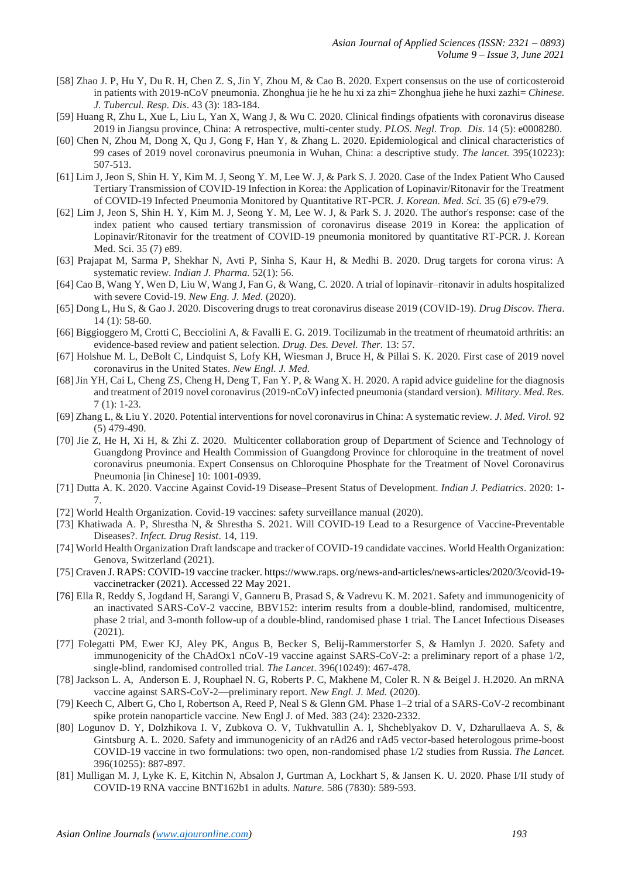- [58] Zhao J. P, Hu Y, Du R. H, Chen Z. S, Jin Y, Zhou M, & Cao B. 2020. Expert consensus on the use of corticosteroid in patients with 2019-nCoV pneumonia. Zhonghua jie he he hu xi za zhi= Zhonghua jiehe he huxi zazhi= *Chinese. J. Tubercul. Resp. Dis*. 43 (3): 183-184.
- [59] Huang R, Zhu L, Xue L, Liu L, Yan X, Wang J, & Wu C. 2020. Clinical findings ofpatients with coronavirus disease 2019 in Jiangsu province, China: A retrospective, multi-center study. *PLOS. Negl. Trop. Dis*. 14 (5): e0008280.
- [60] Chen N, Zhou M, Dong X, Qu J, Gong F, Han Y, & Zhang L. 2020. Epidemiological and clinical characteristics of 99 cases of 2019 novel coronavirus pneumonia in Wuhan, China: a descriptive study. *The lancet.* 395(10223): 507-513.
- [61] Lim J, Jeon S, Shin H. Y, Kim M. J, Seong Y. M, Lee W. J, & Park S. J. 2020. Case of the Index Patient Who Caused Tertiary Transmission of COVID-19 Infection in Korea: the Application of Lopinavir/Ritonavir for the Treatment of COVID-19 Infected Pneumonia Monitored by Quantitative RT-PCR. *J. Korean. Med. Sci.* 35 (6) e79-e79.
- [62] Lim J, Jeon S, Shin H. Y, Kim M. J, Seong Y. M, Lee W. J, & Park S. J. 2020. The author's response: case of the index patient who caused tertiary transmission of coronavirus disease 2019 in Korea: the application of Lopinavir/Ritonavir for the treatment of COVID-19 pneumonia monitored by quantitative RT-PCR. J. Korean Med. Sci. 35 (7) e89.
- [63] Prajapat M, Sarma P, Shekhar N, Avti P, Sinha S, Kaur H, & Medhi B. 2020. Drug targets for corona virus: A systematic review. *Indian J. Pharma.* 52(1): 56.
- [64] Cao B, Wang Y, Wen D, Liu W, Wang J, Fan G, & Wang, C. 2020. A trial of lopinavir–ritonavir in adults hospitalized with severe Covid-19. *New Eng. J. Med.* (2020).
- [65] Dong L, Hu S, & Gao J. 2020. Discovering drugs to treat coronavirus disease 2019 (COVID-19). *Drug Discov. Thera*. 14 (1): 58-60.
- [66] Biggioggero M, Crotti C, Becciolini A, & Favalli E. G. 2019. Tocilizumab in the treatment of rheumatoid arthritis: an evidence-based review and patient selection. *Drug. Des. Devel. Ther.* 13: 57.
- [67] Holshue M. L, DeBolt C, Lindquist S, Lofy KH, Wiesman J, Bruce H, & Pillai S. K. 2020. First case of 2019 novel coronavirus in the United States. *New Engl. J. Med.*
- [68] Jin YH, Cai L, Cheng ZS, Cheng H, Deng T, Fan Y. P, & Wang X. H. 2020. A rapid advice guideline for the diagnosis and treatment of 2019 novel coronavirus (2019-nCoV) infected pneumonia (standard version). *Military. Med. Res.* 7 (1): 1-23.
- [69] Zhang L, & Liu Y. 2020. Potential interventions for novel coronavirus in China: A systematic review. *J. Med. Virol.* 92 (5) 479-490.
- [70] Jie Z, He H, Xi H, & Zhi Z. 2020. Multicenter collaboration group of Department of Science and Technology of Guangdong Province and Health Commission of Guangdong Province for chloroquine in the treatment of novel coronavirus pneumonia. Expert Consensus on Chloroquine Phosphate for the Treatment of Novel Coronavirus Pneumonia [in Chinese] 10: 1001-0939.
- [71] Dutta A. K. 2020. Vaccine Against Covid-19 Disease–Present Status of Development. *Indian J. Pediatrics*. 2020: 1- 7.
- [72] World Health Organization. Covid-19 vaccines: safety surveillance manual (2020).
- [73] Khatiwada A. P, Shrestha N, & Shrestha S. 2021. Will COVID-19 Lead to a Resurgence of Vaccine-Preventable Diseases?. *Infect. Drug Resist*. 14, 119.
- [74] World Health Organization Draft landscape and tracker of COVID-19 candidate vaccines. World Health Organization: Genova, Switzerland (2021).
- [75] Craven J. RAPS: COVID-19 vaccine tracker. https://www.raps. org/news-and-articles/news-articles/2020/3/covid-19 vaccinetracker (2021). Accessed 22 May 2021.
- [76] Ella R, Reddy S, Jogdand H, Sarangi V, Ganneru B, Prasad S, & Vadrevu K. M. 2021. Safety and immunogenicity of an inactivated SARS-CoV-2 vaccine, BBV152: interim results from a double-blind, randomised, multicentre, phase 2 trial, and 3-month follow-up of a double-blind, randomised phase 1 trial. The Lancet Infectious Diseases (2021).
- [77] Folegatti PM, Ewer KJ, Aley PK, Angus B, Becker S, Belij-Rammerstorfer S, & Hamlyn J. 2020. Safety and immunogenicity of the ChAdOx1 nCoV-19 vaccine against SARS-CoV-2: a preliminary report of a phase 1/2, single-blind, randomised controlled trial. *The Lancet*. 396(10249): 467-478.
- [78] Jackson L. A, Anderson E. J, Rouphael N. G, Roberts P. C, Makhene M, Coler R. N & Beigel J. H.2020. An mRNA vaccine against SARS-CoV-2—preliminary report. *New Engl. J. Med.* (2020).
- [79] Keech C, Albert G, Cho I, Robertson A, Reed P, Neal S & Glenn GM. Phase 1–2 trial of a SARS-CoV-2 recombinant spike protein nanoparticle vaccine. New Engl J. of Med. 383 (24): 2320-2332.
- [80] Logunov D. Y, Dolzhikova I. V, Zubkova O. V, Tukhvatullin A. I, Shcheblyakov D. V, Dzharullaeva A. S, & Gintsburg A. L. 2020. Safety and immunogenicity of an rAd26 and rAd5 vector-based heterologous prime-boost COVID-19 vaccine in two formulations: two open, non-randomised phase 1/2 studies from Russia. *The Lancet.* 396(10255): 887-897.
- [81] Mulligan M. J, Lyke K. E, Kitchin N, Absalon J, Gurtman A, Lockhart S, & Jansen K. U. 2020. Phase I/II study of COVID-19 RNA vaccine BNT162b1 in adults. *Nature.* 586 (7830): 589-593.